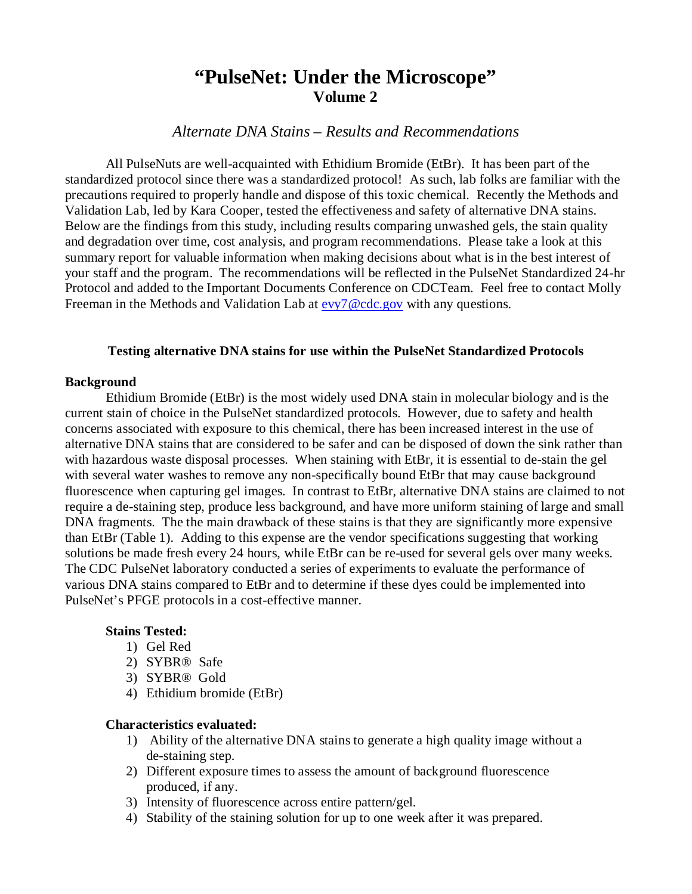# **"PulseNet: Under the Microscope" Volume 2**

# *Alternate DNA Stains – Results and Recommendations*

All PulseNuts are well-acquainted with Ethidium Bromide (EtBr). It has been part of the standardized protocol since there was a standardized protocol! As such, lab folks are familiar with the precautions required to properly handle and dispose of this toxic chemical. Recently the Methods and Validation Lab, led by Kara Cooper, tested the effectiveness and safety of alternative DNA stains. Below are the findings from this study, including results comparing unwashed gels, the stain quality and degradation over time, cost analysis, and program recommendations. Please take a look at this summary report for valuable information when making decisions about what is in the best interest of your staff and the program. The recommendations will be reflected in the PulseNet Standardized 24-hr Protocol and added to the Important Documents Conference on CDCTeam. Feel free to contact Molly Freeman in the Methods and Validation Lab at [evy7@cdc.gov](mailto:evy7@cdc.gov) with any questions.

## **Testing alternative DNA stains for use within the PulseNet Standardized Protocols**

#### **Background**

Ethidium Bromide (EtBr) is the most widely used DNA stain in molecular biology and is the current stain of choice in the PulseNet standardized protocols. However, due to safety and health concerns associated with exposure to this chemical, there has been increased interest in the use of alternative DNA stains that are considered to be safer and can be disposed of down the sink rather than with hazardous waste disposal processes. When staining with EtBr, it is essential to de-stain the gel with several water washes to remove any non-specifically bound EtBr that may cause background fluorescence when capturing gel images. In contrast to EtBr, alternative DNA stains are claimed to not require a de-staining step, produce less background, and have more uniform staining of large and small DNA fragments. The the main drawback of these stains is that they are significantly more expensive than EtBr (Table 1). Adding to this expense are the vendor specifications suggesting that working solutions be made fresh every 24 hours, while EtBr can be re-used for several gels over many weeks. The CDC PulseNet laboratory conducted a series of experiments to evaluate the performance of various DNA stains compared to EtBr and to determine if these dyes could be implemented into PulseNet's PFGE protocols in a cost-effective manner.

### **Stains Tested:**

- 1) Gel Red
- 2) SYBR® Safe
- 3) SYBR® Gold
- 4) Ethidium bromide (EtBr)

#### **Characteristics evaluated:**

- 1) Ability of the alternative DNA stains to generate a high quality image without a de-staining step.
- 2) Different exposure times to assess the amount of background fluorescence produced, if any.
- 3) Intensity of fluorescence across entire pattern/gel.
- 4) Stability of the staining solution for up to one week after it was prepared.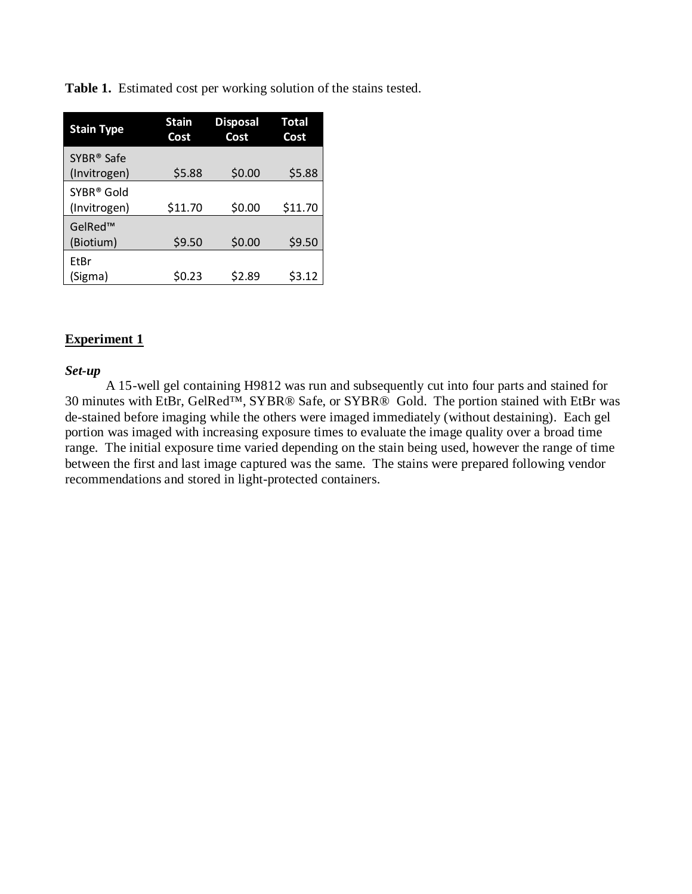**Table 1.** Estimated cost per working solution of the stains tested.

| <b>Stain Type</b>                      | <b>Stain</b><br>Cost | <b>Disposal</b><br>Cost | Total<br>Cost |
|----------------------------------------|----------------------|-------------------------|---------------|
| SYBR <sup>®</sup> Safe<br>(Invitrogen) | \$5.88               | \$0.00                  | \$5.88        |
| SYBR <sup>®</sup> Gold<br>(Invitrogen) | \$11.70              | \$0.00                  | \$11.70       |
| GelRed™<br>(Biotium)                   | \$9.50               | \$0.00                  | \$9.50        |
| EtBr<br>(Sigma)                        | S0.23                | \$2.89                  | \$3.12        |

## **Experiment 1**

### *Set-up*

A 15-well gel containing H9812 was run and subsequently cut into four parts and stained for 30 minutes with EtBr, GelRed™, SYBR® Safe, or SYBR® Gold. The portion stained with EtBr was de-stained before imaging while the others were imaged immediately (without destaining). Each gel portion was imaged with increasing exposure times to evaluate the image quality over a broad time range. The initial exposure time varied depending on the stain being used, however the range of time between the first and last image captured was the same. The stains were prepared following vendor recommendations and stored in light-protected containers.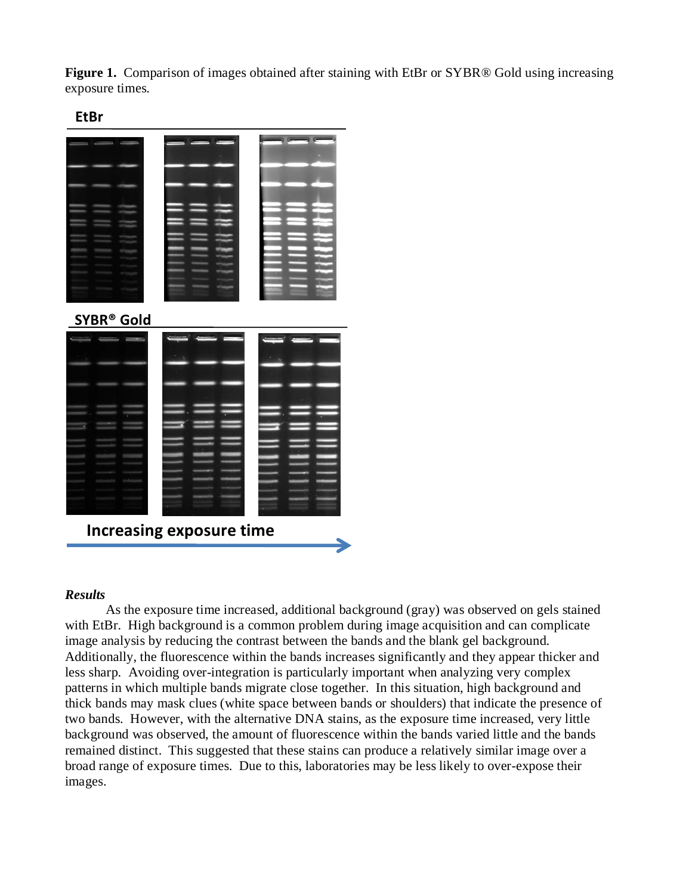Figure 1. Comparison of images obtained after staining with EtBr or SYBR® Gold using increasing exposure times.



| <b>SYBR® Gold</b> |                                 |  |
|-------------------|---------------------------------|--|
|                   |                                 |  |
|                   | <b>Increasing exposure time</b> |  |

### *Results*

As the exposure time increased, additional background (gray) was observed on gels stained with EtBr. High background is a common problem during image acquisition and can complicate image analysis by reducing the contrast between the bands and the blank gel background. Additionally, the fluorescence within the bands increases significantly and they appear thicker and less sharp. Avoiding over-integration is particularly important when analyzing very complex patterns in which multiple bands migrate close together. In this situation, high background and thick bands may mask clues (white space between bands or shoulders) that indicate the presence of two bands. However, with the alternative DNA stains, as the exposure time increased, very little background was observed, the amount of fluorescence within the bands varied little and the bands remained distinct. This suggested that these stains can produce a relatively similar image over a broad range of exposure times. Due to this, laboratories may be less likely to over-expose their images.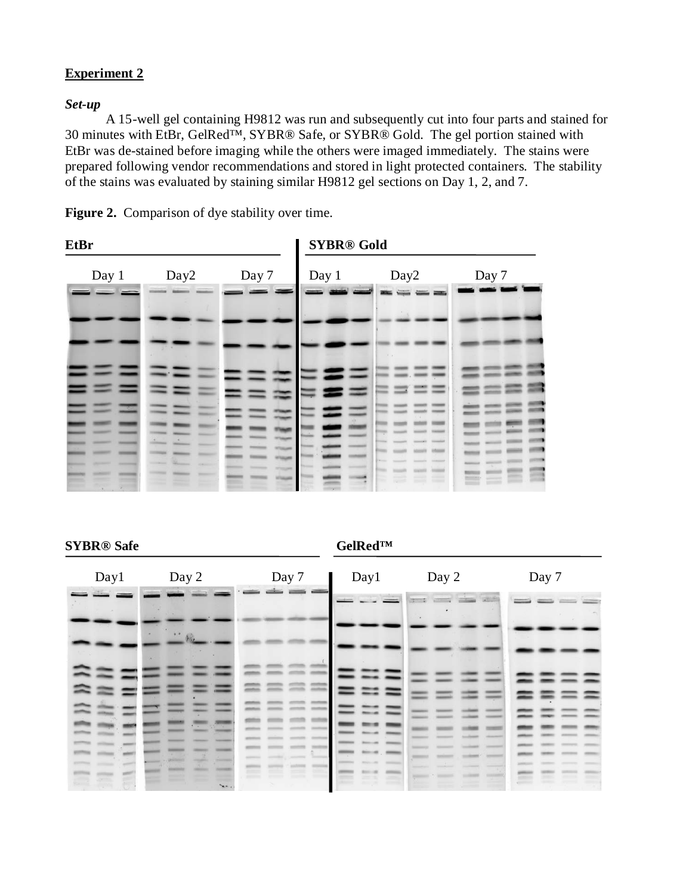# **Experiment 2**

## *Set-up*

A 15-well gel containing H9812 was run and subsequently cut into four parts and stained for 30 minutes with EtBr, GelRed™, SYBR® Safe, or SYBR® Gold. The gel portion stained with EtBr was de-stained before imaging while the others were imaged immediately. The stains were prepared following vendor recommendations and stored in light protected containers. The stability of the stains was evaluated by staining similar H9812 gel sections on Day 1, 2, and 7.



| EtBr  |                  |       | <b>SYBR®</b> Gold |                  |       |
|-------|------------------|-------|-------------------|------------------|-------|
| Day 1 | Day <sub>2</sub> | Day 7 | Day 1             | Day <sub>2</sub> | Day 7 |
|       |                  |       |                   |                  |       |
|       |                  |       |                   | $(1)$ 19         |       |
| ÷.    |                  |       |                   |                  |       |
|       |                  |       |                   |                  |       |

**SYBR®** Safe GelRed™

| Day1 | Day 2        | Day 7<br>$\equiv$ | Day1                                                                                                                                                                                                                                                                                                                                                                                                                  | Day 2                       | Day 7          |
|------|--------------|-------------------|-----------------------------------------------------------------------------------------------------------------------------------------------------------------------------------------------------------------------------------------------------------------------------------------------------------------------------------------------------------------------------------------------------------------------|-----------------------------|----------------|
|      |              |                   | $\frac{1}{1-\frac{1}{1-\frac{1}{1-\frac{1}{1-\frac{1}{1-\frac{1}{1-\frac{1}{1-\frac{1}{1-\frac{1}{1-\frac{1}{1-\frac{1}{1-\frac{1}{1-\frac{1}{1-\frac{1}{1-\frac{1}{1-\frac{1}{1-\frac{1}{1-\frac{1}{1-\frac{1}{1-\frac{1}{1-\frac{1}{1-\frac{1}{1-\frac{1}{1-\frac{1}{1-\frac{1}{1-\frac{1}{1-\frac{1}{1-\frac{1}{1-\frac{1}{1-\frac{1}{1-\frac{1}{1-\frac{1}{1-\frac{1}{1-\frac{1}{1-\frac{1}{1-\frac{1}{1-\frac{1$ | <b>The Volume</b><br>and on | <b>College</b> |
|      | $+ +$<br>AR. |                   |                                                                                                                                                                                                                                                                                                                                                                                                                       |                             |                |
|      |              |                   |                                                                                                                                                                                                                                                                                                                                                                                                                       |                             |                |
|      |              |                   |                                                                                                                                                                                                                                                                                                                                                                                                                       |                             | =              |
|      |              |                   |                                                                                                                                                                                                                                                                                                                                                                                                                       |                             |                |
|      |              |                   |                                                                                                                                                                                                                                                                                                                                                                                                                       |                             |                |
|      | $A_{\alpha}$ |                   |                                                                                                                                                                                                                                                                                                                                                                                                                       |                             |                |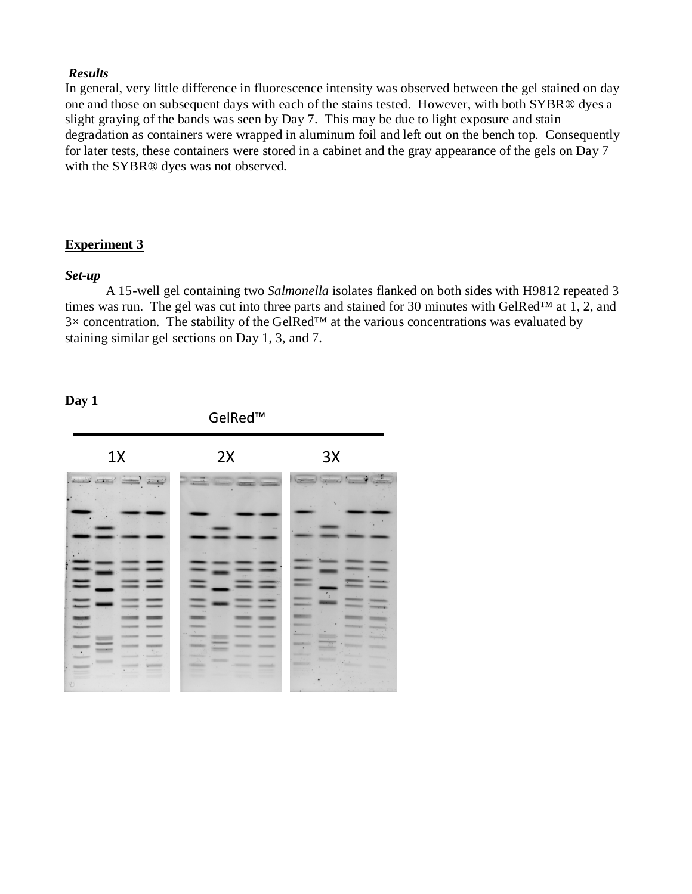## *Results*

In general, very little difference in fluorescence intensity was observed between the gel stained on day one and those on subsequent days with each of the stains tested. However, with both SYBR® dyes a slight graying of the bands was seen by Day 7. This may be due to light exposure and stain degradation as containers were wrapped in aluminum foil and left out on the bench top. Consequently for later tests, these containers were stored in a cabinet and the gray appearance of the gels on Day 7 with the SYBR® dyes was not observed.

## **Experiment 3**

## *Set-up*

A 15-well gel containing two *Salmonella* isolates flanked on both sides with H9812 repeated 3 times was run. The gel was cut into three parts and stained for 30 minutes with GelRed™ at 1, 2, and  $3\times$  concentration. The stability of the GelRed<sup>TM</sup> at the various concentrations was evaluated by staining similar gel sections on Day 1, 3, and 7.

## **Day 1**

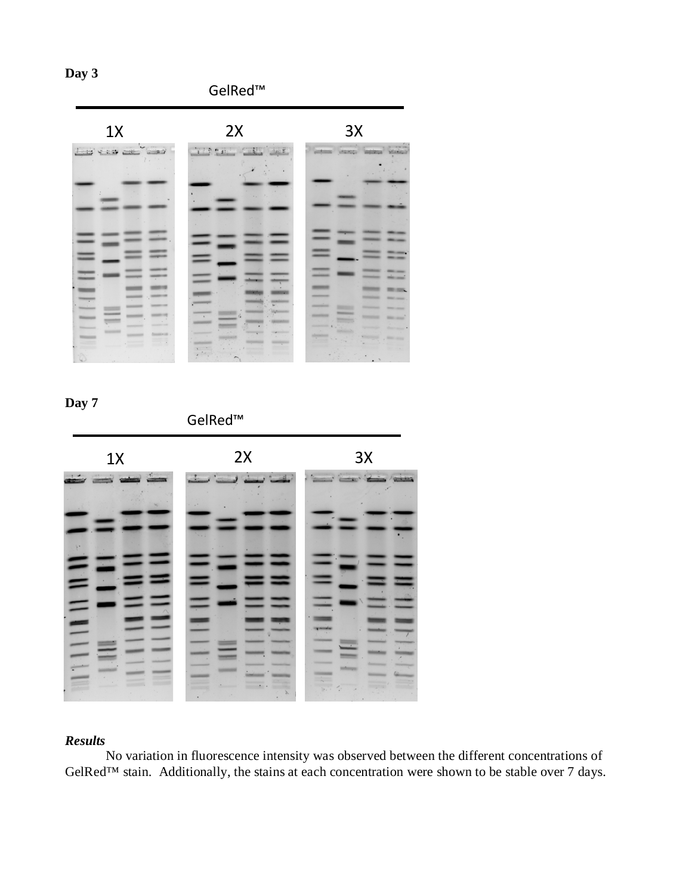GelRed™





GelRed™



# *Results*

No variation in fluorescence intensity was observed between the different concentrations of GelRed<sup>™</sup> stain. Additionally, the stains at each concentration were shown to be stable over 7 days.

**Day 3**